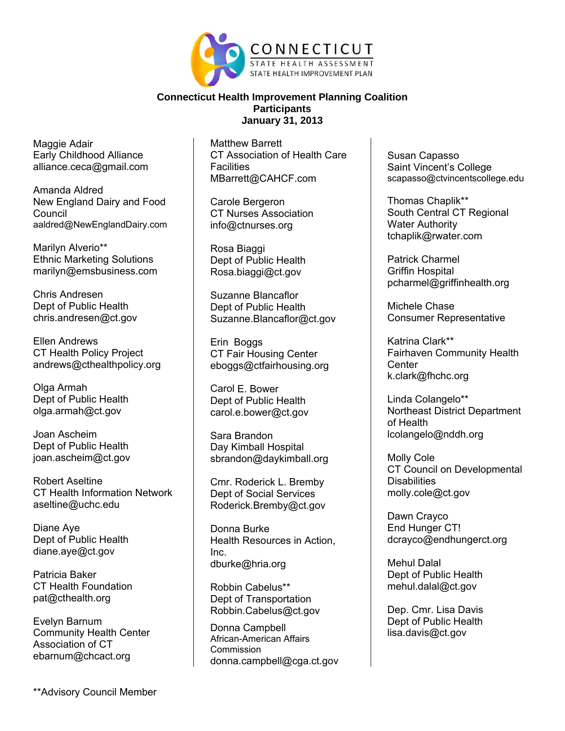

Maggie Adair Early Childhood Alliance alliance.ceca@gmail.com

Amanda Aldred New England Dairy and Food **Council** aaldred@NewEnglandDairy.com

Marilyn Alverio\*\* Ethnic Marketing Solutions marilyn@emsbusiness.com

Chris Andresen Dept of Public Health chris.andresen@ct.gov

Ellen Andrews CT Health Policy Project andrews@cthealthpolicy.org

Olga Armah Dept of Public Health olga.armah@ct.gov

Joan Ascheim Dept of Public Health joan.ascheim@ct.gov

Robert Aseltine CT Health Information Network aseltine@uchc.edu

Diane Aye Dept of Public Health diane.aye@ct.gov

Patricia Baker CT Health Foundation pat@cthealth.org

Evelyn Barnum Community Health Center Association of CT ebarnum@chcact.org

Matthew Barrett CT Association of Health Care **Facilities** MBarrett@CAHCF.com

Carole Bergeron CT Nurses Association info@ctnurses.org

Rosa Biaggi Dept of Public Health Rosa.biaggi@ct.gov

Suzanne Blancaflor Dept of Public Health Suzanne.Blancaflor@ct.gov

Erin Boggs CT Fair Housing Center eboggs@ctfairhousing.org

Carol E. Bower Dept of Public Health carol.e.bower@ct.gov

Sara Brandon Day Kimball Hospital sbrandon@daykimball.org

Cmr. Roderick L. Bremby Dept of Social Services Roderick.Bremby@ct.gov

Donna Burke Health Resources in Action, Inc. dburke@hria.org

Robbin Cabelus\*\* Dept of Transportation Robbin.Cabelus@ct.gov

Donna Campbell African-American Affairs **Commission** donna.campbell@cga.ct.gov Susan Capasso Saint Vincent's College scapasso@ctvincentscollege.edu

Thomas Chaplik\*\* South Central CT Regional Water Authority tchaplik@rwater.com

Patrick Charmel Griffin Hospital pcharmel@griffinhealth.org

Michele Chase Consumer Representative

Katrina Clark\*\* Fairhaven Community Health **Center** k.clark@fhchc.org

Linda Colangelo\*\* Northeast District Department of Health lcolangelo@nddh.org

Molly Cole CT Council on Developmental **Disabilities** molly.cole@ct.gov

Dawn Crayco End Hunger CT! dcrayco@endhungerct.org

Mehul Dalal Dept of Public Health mehul.dalal@ct.gov

Dep. Cmr. Lisa Davis Dept of Public Health lisa.davis@ct.gov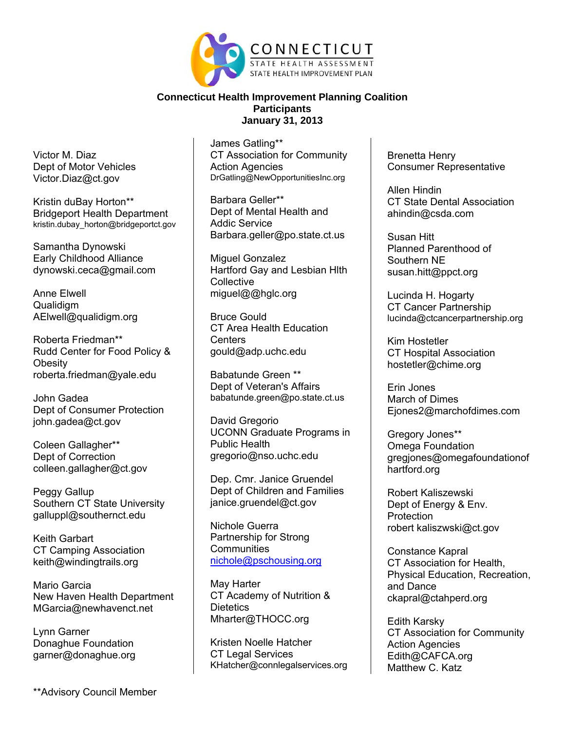

Victor M. Diaz Dept of Motor Vehicles Victor.Diaz@ct.gov

Kristin duBay Horton\*\* Bridgeport Health Department kristin.dubay\_horton@bridgeportct.gov

Samantha Dynowski Early Childhood Alliance dynowski.ceca@gmail.com

Anne Elwell Qualidigm AElwell@qualidigm.org

Roberta Friedman\*\* Rudd Center for Food Policy & **Obesity** roberta.friedman@yale.edu

John Gadea Dept of Consumer Protection john.gadea@ct.gov

Coleen Gallagher\*\* Dept of Correction colleen.gallagher@ct.gov

Peggy Gallup Southern CT State University galluppl@southernct.edu

Keith Garbart CT Camping Association keith@windingtrails.org

Mario Garcia New Haven Health Department MGarcia@newhavenct.net

Lynn Garner Donaghue Foundation garner@donaghue.org

James Gatling\*\* CT Association for Community Action Agencies DrGatling@NewOpportunitiesInc.org

Barbara Geller\*\* Dept of Mental Health and Addic Service Barbara.geller@po.state.ct.us

Miguel Gonzalez Hartford Gay and Lesbian Hlth **Collective** miguel@@hglc.org

Bruce Gould CT Area Health Education **Centers** gould@adp.uchc.edu

Babatunde Green \*\* Dept of Veteran's Affairs babatunde.green@po.state.ct.us

David Gregorio UCONN Graduate Programs in Public Health gregorio@nso.uchc.edu

Dep. Cmr. Janice Gruendel Dept of Children and Families janice.gruendel@ct.gov

Nichole Guerra Partnership for Strong **Communities** nichole@pschousing.org

May Harter CT Academy of Nutrition & **Dietetics** Mharter@THOCC.org

Kristen Noelle Hatcher CT Legal Services KHatcher@connlegalservices.org Brenetta Henry Consumer Representative

Allen Hindin CT State Dental Association ahindin@csda.com

Susan Hitt Planned Parenthood of Southern NE susan.hitt@ppct.org

Lucinda H. Hogarty CT Cancer Partnership lucinda@ctcancerpartnership.org

Kim Hostetler CT Hospital Association hostetler@chime.org

Erin Jones March of Dimes Ejones2@marchofdimes.com

Gregory Jones\*\* Omega Foundation gregjones@omegafoundationof hartford.org

Robert Kaliszewski Dept of Energy & Env. **Protection** robert kaliszwski@ct.gov

Constance Kapral CT Association for Health, Physical Education, Recreation, and Dance ckapral@ctahperd.org

Edith Karsky CT Association for Community Action Agencies Edith@CAFCA.org Matthew C. Katz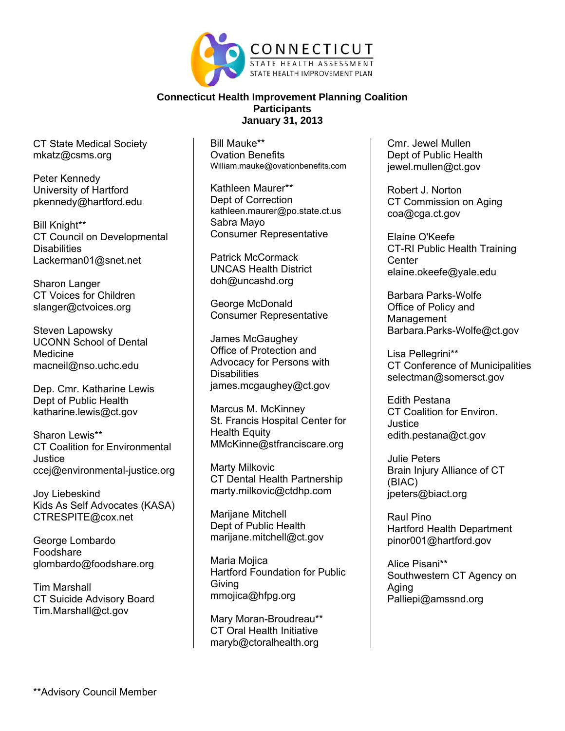

CT State Medical Society mkatz@csms.org

Peter Kennedy University of Hartford pkennedy@hartford.edu

Bill Knight\*\* CT Council on Developmental **Disabilities** Lackerman01@snet.net

Sharon Langer CT Voices for Children slanger@ctvoices.org

Steven Lapowsky UCONN School of Dental Medicine macneil@nso.uchc.edu

Dep. Cmr. Katharine Lewis Dept of Public Health katharine.lewis@ct.gov

Sharon Lewis\*\* CT Coalition for Environmental Justice ccej@environmental-justice.org

Joy Liebeskind Kids As Self Advocates (KASA) CTRESPITE@cox.net

George Lombardo Foodshare glombardo@foodshare.org

Tim Marshall CT Suicide Advisory Board Tim.Marshall@ct.gov

Bill Mauke\*\* Ovation Benefits William.mauke@ovationbenefits.com

Kathleen Maurer\*\* Dept of Correction kathleen.maurer@po.state.ct.us Sabra Mayo Consumer Representative

Patrick McCormack UNCAS Health District doh@uncashd.org

George McDonald Consumer Representative

James McGaughey Office of Protection and Advocacy for Persons with **Disabilities** james.mcgaughey@ct.gov

Marcus M. McKinney St. Francis Hospital Center for Health Equity MMcKinne@stfranciscare.org

Marty Milkovic CT Dental Health Partnership marty.milkovic@ctdhp.com

Marijane Mitchell Dept of Public Health marijane.mitchell@ct.gov

Maria Mojica Hartford Foundation for Public Giving mmojica@hfpg.org

Mary Moran-Broudreau\*\* CT Oral Health Initiative maryb@ctoralhealth.org

Cmr. Jewel Mullen Dept of Public Health jewel.mullen@ct.gov

Robert J. Norton CT Commission on Aging coa@cga.ct.gov

Elaine O'Keefe CT-RI Public Health Training **Center** elaine.okeefe@yale.edu

Barbara Parks-Wolfe Office of Policy and Management Barbara.Parks-Wolfe@ct.gov

Lisa Pellegrini\*\* CT Conference of Municipalities selectman@somersct.gov

Edith Pestana CT Coalition for Environ. Justice edith.pestana@ct.gov

Julie Peters Brain Injury Alliance of CT (BIAC) jpeters@biact.org

Raul Pino Hartford Health Department pinor001@hartford.gov

Alice Pisani\*\* Southwestern CT Agency on Aging Palliepi@amssnd.org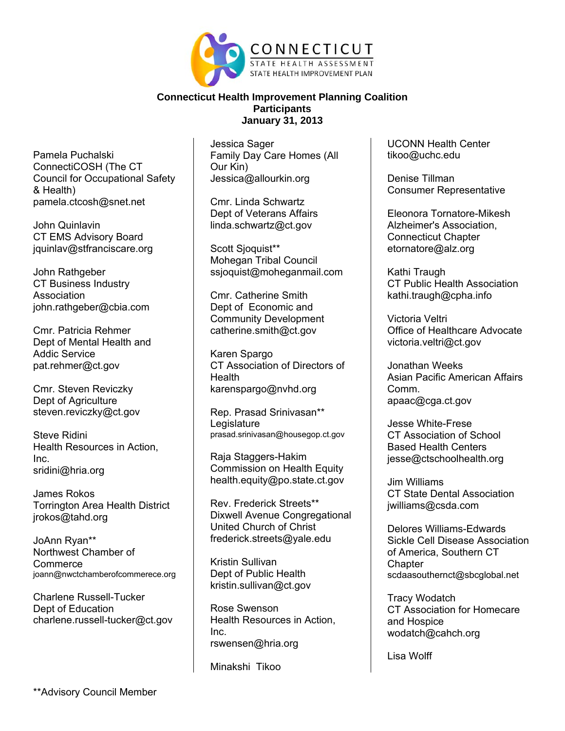

Pamela Puchalski ConnectiCOSH (The CT Council for Occupational Safety & Health) pamela.ctcosh@snet.net

John Quinlavin CT EMS Advisory Board jquinlav@stfranciscare.org

John Rathgeber CT Business Industry Association john.rathgeber@cbia.com

Cmr. Patricia Rehmer Dept of Mental Health and Addic Service pat.rehmer@ct.gov

Cmr. Steven Reviczky Dept of Agriculture steven.reviczky@ct.gov

Steve Ridini Health Resources in Action, Inc. sridini@hria.org

James Rokos Torrington Area Health District jrokos@tahd.org

JoAnn Ryan\*\* Northwest Chamber of **Commerce** joann@nwctchamberofcommerece.org

Charlene Russell-Tucker Dept of Education charlene.russell-tucker@ct.gov

Jessica Sager Family Day Care Homes (All Our Kin) Jessica@allourkin.org

Cmr. Linda Schwartz Dept of Veterans Affairs linda.schwartz@ct.gov

Scott Sioquist\*\* Mohegan Tribal Council ssjoquist@moheganmail.com

Cmr. Catherine Smith Dept of Economic and Community Development catherine.smith@ct.gov

Karen Spargo CT Association of Directors of **Health** karenspargo@nvhd.org

Rep. Prasad Srinivasan\*\* **Legislature** prasad.srinivasan@housegop.ct.gov

Raja Staggers-Hakim Commission on Health Equity health.equity@po.state.ct.gov

Rev. Frederick Streets\*\* Dixwell Avenue Congregational United Church of Christ frederick.streets@yale.edu

Kristin Sullivan Dept of Public Health kristin.sullivan@ct.gov

Rose Swenson Health Resources in Action, Inc. rswensen@hria.org

Minakshi Tikoo

UCONN Health Center tikoo@uchc.edu

Denise Tillman Consumer Representative

Eleonora Tornatore-Mikesh Alzheimer's Association, Connecticut Chapter etornatore@alz.org

Kathi Traugh CT Public Health Association kathi.traugh@cpha.info

Victoria Veltri Office of Healthcare Advocate victoria.veltri@ct.gov

Jonathan Weeks Asian Pacific American Affairs Comm. apaac@cga.ct.gov

Jesse White-Frese CT Association of School Based Health Centers jesse@ctschoolhealth.org

Jim Williams CT State Dental Association jwilliams@csda.com

Delores Williams-Edwards Sickle Cell Disease Association of America, Southern CT **Chapter** scdaasouthernct@sbcglobal.net

Tracy Wodatch CT Association for Homecare and Hospice wodatch@cahch.org

Lisa Wolff